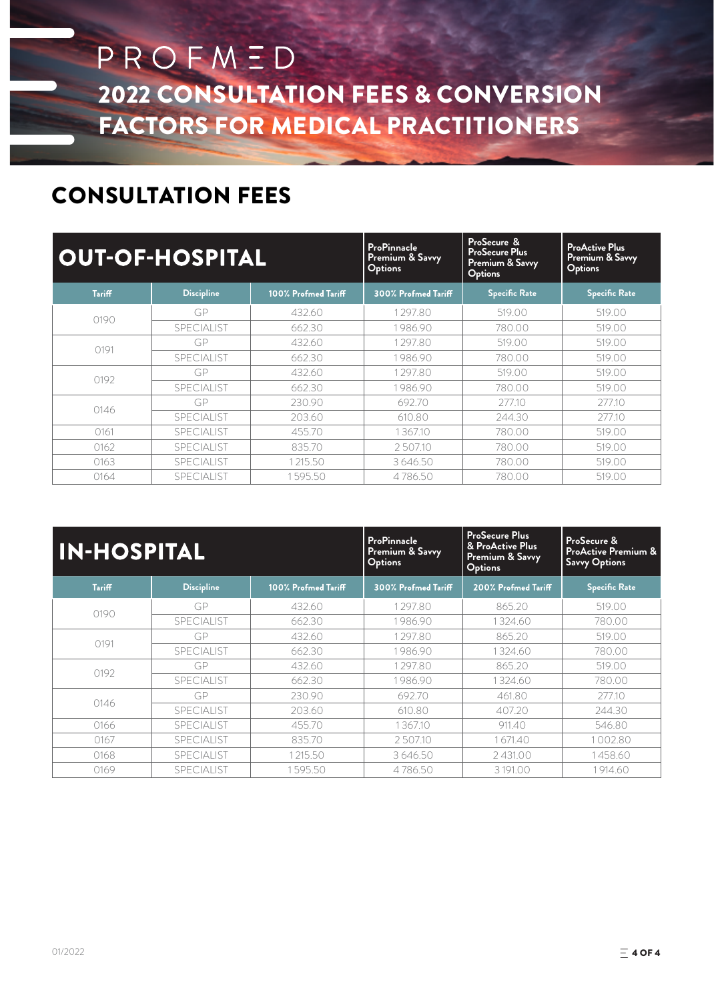# PROFMED 2022 CONSULTATION FEES & CONVERSION FACTORS FOR MEDICAL PRACTITIONERS

#### CONSULTATION FEES

|               | <b>OUT-OF-HOSPITAL</b> |                     | <b>ProPinnacle</b><br>Premium & Savvy<br>Options | ProSecure &<br><b>ProSecure Plus</b><br><b>Premium &amp; Savvy</b><br><b>Options</b> | <b>ProActive Plus</b><br>Premium & Savvy<br>Options |  |  |
|---------------|------------------------|---------------------|--------------------------------------------------|--------------------------------------------------------------------------------------|-----------------------------------------------------|--|--|
| <b>Tariff</b> | <b>Discipline</b>      | 100% Profmed Tariff | 300% Profmed Tariff                              | <b>Specific Rate</b>                                                                 | <b>Specific Rate</b>                                |  |  |
|               | GP                     | 432.60              | 1297.80                                          | 519.00                                                                               | 519.00                                              |  |  |
| 0190          | <b>SPECIALIST</b>      | 662.30              | 1986.90                                          | 780.00                                                                               | 519.00                                              |  |  |
|               | GP                     | 432.60              | 1297.80                                          | 519.00                                                                               | 519.00                                              |  |  |
| 0191          | <b>SPECIALIST</b>      | 662.30              | 1986.90                                          | 780.00                                                                               | 519.00                                              |  |  |
|               | GP                     | 432.60              | 1297.80                                          | 519.00                                                                               | 519.00                                              |  |  |
| 0192          | <b>SPECIALIST</b>      | 662.30              | 1986.90                                          | 780.00                                                                               | 519.00                                              |  |  |
| 0146          | GP                     | 230.90              | 692.70                                           | 277.10                                                                               | 277.10                                              |  |  |
|               | <b>SPECIALIST</b>      | 203.60              | 610.80                                           | 244.30                                                                               | 277.10                                              |  |  |
| 0161          | SPECIALIST             | 455.70              | 1367.10                                          | 780.00                                                                               | 519.00                                              |  |  |
| 0162          | <b>SPECIALIST</b>      | 835.70              | 2507.10                                          | 780.00                                                                               | 519.00                                              |  |  |
| 0163          | <b>SPECIALIST</b>      | 1215.50             | 3646.50                                          | 780.00                                                                               | 519.00                                              |  |  |
| 0164          | <b>SPECIALIST</b>      | 1595.50             | 4786.50                                          | 780.00                                                                               | 519.00                                              |  |  |

| <b>IN-HOSPITAL</b> |                   |                     | <b>ProPinnacle</b><br>Premium & Savvy<br>Options | <b>ProSecure Plus</b><br>& ProActive Plus<br>Premium & Savvy<br><b>Options</b> | ProSecure &<br>ProActive Premium &<br><b>Savvy Options</b> |  |  |
|--------------------|-------------------|---------------------|--------------------------------------------------|--------------------------------------------------------------------------------|------------------------------------------------------------|--|--|
| <b>Tariff</b>      | <b>Discipline</b> | 100% Profmed Tariff | 300% Profmed Tariff                              | 200% Profmed Tariff                                                            | <b>Specific Rate</b>                                       |  |  |
|                    | GP                | 432.60              | 1297.80                                          | 865.20                                                                         | 519.00                                                     |  |  |
| 0190               | <b>SPECIALIST</b> | 662.30              | 1986.90                                          | 1324.60                                                                        | 780.00                                                     |  |  |
|                    | GP                | 432.60              | 1297.80                                          | 865.20                                                                         | 519.00                                                     |  |  |
| 0191               | <b>SPECIALIST</b> | 662.30              | 1986.90                                          | 1324.60                                                                        | 780.00                                                     |  |  |
|                    | GP                | 432.60              | 1297.80                                          | 865.20                                                                         | 519.00                                                     |  |  |
| 0192               | <b>SPECIALIST</b> | 662.30              | 1986.90                                          | 1324.60                                                                        | 780.00                                                     |  |  |
| 0146               | GP                | 230.90              | 692.70                                           | 461.80                                                                         | 277.10                                                     |  |  |
|                    | <b>SPECIALIST</b> | 203.60              | 610.80                                           | 407.20                                                                         | 244.30                                                     |  |  |
| 0166               | <b>SPECIALIST</b> | 455.70              | 1367.10                                          | 911.40                                                                         | 546.80                                                     |  |  |
| 0167               | <b>SPECIALIST</b> | 835.70              | 2507.10                                          | 1671.40                                                                        | 1002.80                                                    |  |  |
| 0168               | SPECIALIST        | 1215.50             | 3 646.50                                         | 2431.00                                                                        | 1458.60                                                    |  |  |
| 0169               | <b>SPECIALIST</b> | 1595.50             | 4786.50                                          | 3 191.00                                                                       | 1914.60                                                    |  |  |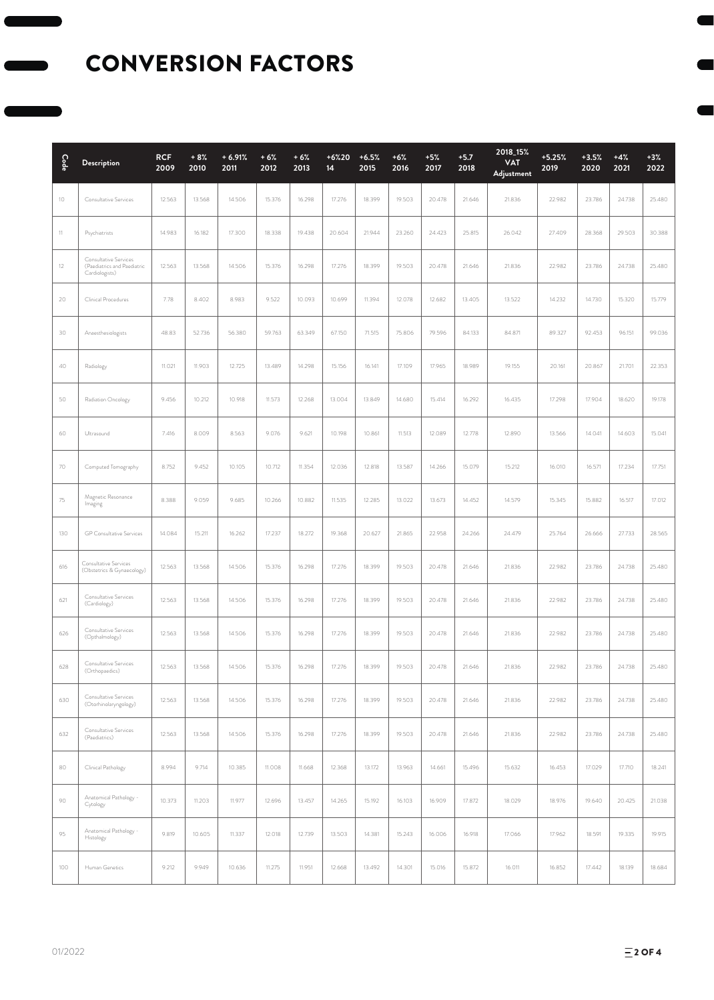#### CONVERSION FACTORS

| Code    | Description                                                            | <b>RCF</b><br>2009 | $+8%$<br>2010 | $+6.91%$<br>2011 | $+6%$<br>2012 | $+6%$<br>2013 | $+6%20$<br>14 | $+6.5%$<br>2015 | $+6%$<br>2016 | $+5%$<br>2017 | $+5.7$<br>2018 | 2018_15%<br><b>VAT</b><br>Adjustment | $+5.25%$<br>2019 | $+3.5%$<br>2020 | $+4%$<br>2021 | $+3%$<br>2022 |
|---------|------------------------------------------------------------------------|--------------------|---------------|------------------|---------------|---------------|---------------|-----------------|---------------|---------------|----------------|--------------------------------------|------------------|-----------------|---------------|---------------|
| $10\,$  | Consultative Services                                                  | 12.563             | 13.568        | 14.506           | 15.376        | 16.298        | 17.276        | 18.399          | 19.503        | 20.478        | 21.646         | 21.836                               | 22.982           | 23.786          | 24.738        | 25.480        |
| 11      | Psychiatrists                                                          | 14.983             | 16.182        | 17.300           | 18.338        | 19.438        | 20.604        | 21.944          | 23.260        | 24.423        | 25.815         | 26.042                               | 27.409           | 28.368          | 29.503        | 30.388        |
| $12 \,$ | Consultative Services<br>(Paediatrics and Paediatric<br>Cardiologists) | 12.563             | 13.568        | 14.506           | 15.376        | 16.298        | 17.276        | 18.399          | 19.503        | 20.478        | 21.646         | 21.836                               | 22.982           | 23.786          | 24.738        | 25.480        |
| 20      | Clinical Procedures                                                    | 7.78               | 8.402         | 8.983            | 9.522         | 10.093        | 10.699        | 11.394          | 12.078        | 12.682        | 13.405         | 13.522                               | 14.232           | 14.730          | 15.320        | 15.779        |
| 30      | Anaesthesiologists                                                     | 48.83              | 52.736        | 56.380           | 59.763        | 63.349        | 67.150        | 71.515          | 75.806        | 79.596        | 84.133         | 84.871                               | 89.327           | 92.453          | 96.151        | 99.036        |
| 40      | Radiology                                                              | 11.021             | 11.903        | 12.725           | 13.489        | 14.298        | 15.156        | 16.141          | 17.109        | 17.965        | 18.989         | 19.155                               | 20.161           | 20.867          | 21.701        | 22.353        |
| 50      | Radiation Oncology                                                     | 9.456              | 10.212        | 10.918           | 11.573        | 12.268        | 13.004        | 13.849          | 14.680        | 15.414        | 16.292         | 16.435                               | 17.298           | 17.904          | 18.620        | 19.178        |
| 60      | Ultrasound                                                             | 7.416              | 8.009         | 8.563            | 9.076         | 9.621         | 10.198        | 10.861          | 11.513        | 12.089        | 12.778         | 12.890                               | 13.566           | 14.041          | 14.603        | 15.041        |
| 70      | Computed Tomography                                                    | 8.752              | 9.452         | 10.105           | 10.712        | 11.354        | 12.036        | 12.818          | 13.587        | 14.266        | 15.079         | 15.212                               | 16.010           | 16.571          | 17.234        | 17.751        |
| 75      | Magnetic Resonance<br>Imaging                                          | 8.388              | 9.059         | 9.685            | 10.266        | 10.882        | 11.535        | 12.285          | 13.022        | 13.673        | 14.452         | 14.579                               | 15.345           | 15.882          | 16.517        | 17.012        |
| 130     | <b>GP</b> Consultative Services                                        | 14.084             | 15.211        | 16.262           | 17.237        | 18.272        | 19.368        | 20.627          | 21.865        | 22.958        | 24.266         | 24.479                               | 25.764           | 26.666          | 27.733        | 28.565        |
| 616     | Consultative Services<br>(Obstetrics & Gynaecology)                    | 12.563             | 13.568        | 14.506           | 15.376        | 16.298        | 17.276        | 18.399          | 19.503        | 20.478        | 21.646         | 21.836                               | 22.982           | 23.786          | 24.738        | 25.480        |
| 621     | Consultative Services<br>(Cardiology)                                  | 12.563             | 13.568        | 14.506           | 15.376        | 16.298        | 17.276        | 18.399          | 19.503        | 20.478        | 21.646         | 21.836                               | 22.982           | 23.786          | 24.738        | 25.480        |
| 626     | Consultative Services<br>(Opthalmology)                                | 12.563             | 13.568        | 14.506           | 15.376        | 16.298        | 17.276        | 18.399          | 19.503        | 20.478        | 21.646         | 21.836                               | 22.982           | 23.786          | 24.738        | 25.480        |
| 628     | Consultative Services<br>(Orthopaedics)                                | 12.563             | 13.568        | 14.506           | 15.376        | 16.298        | 17.276        | 18.399          | 19.503        | 20.478        | 21.646         | 21.836                               | 22.982           | 23.786          | 24.738        | 25.480        |
| 630     | Consultative Services<br>(Otorhinolaryngology)                         | 12.563             | 13.568        | 14.506           | 15.376        | 16.298        | 17.276        | 18.399          | 19.503        | 20.478        | 21.646         | 21.836                               | 22.982           | 23.786          | 24.738        | 25.480        |
| 632     | Consultative Services<br>(Paediatrics)                                 | 12.563             | 13.568        | 14.506           | 15.376        | 16.298        | 17.276        | 18.399          | 19.503        | 20.478        | 21.646         | 21.836                               | 22.982           | 23.786          | 24.738        | 25.480        |
| 80      | Clinical Pathology                                                     | 8.994              | 9.714         | 10.385           | 11.008        | 11.668        | 12.368        | 13.172          | 13.963        | 14.661        | 15.496         | 15.632                               | 16.453           | 17.029          | 17.710        | 18.241        |
| 90      | Anatomical Pathology -<br>Cytology                                     | 10.373             | 11.203        | 11.977           | 12.696        | 13.457        | 14.265        | 15.192          | 16.103        | 16.909        | 17.872         | 18.029                               | 18.976           | 19.640          | 20.425        | 21.038        |
| 95      | Anatomical Pathology -<br>Histology                                    | 9.819              | 10.605        | 11.337           | 12.018        | 12.739        | 13.503        | 14.381          | 15.243        | 16.006        | 16.918         | 17.066                               | 17.962           | 18.591          | 19.335        | 19.915        |
| 100     | Human Genetics                                                         | 9.212              | 9.949         | 10.636           | 11.275        | 11.951        | 12.668        | 13.492          | 14.301        | 15.016        | 15.872         | 16.011                               | 16.852           | 17.442          | 18.139        | 18.684        |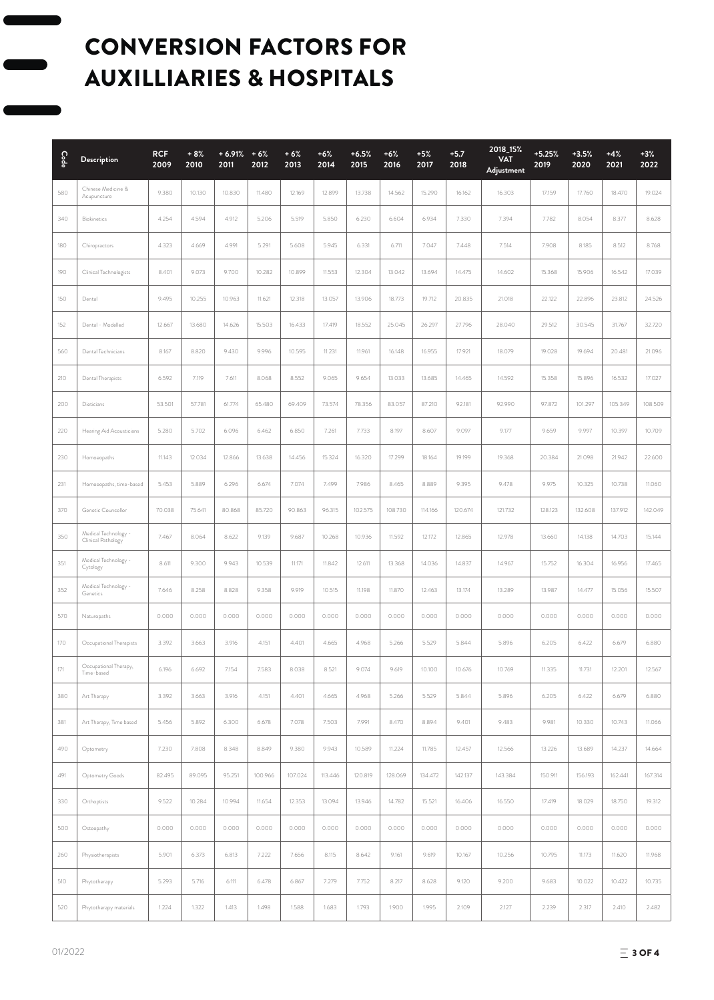## CONVERSION FACTORS FOR AUXILLIARIES & HOSPITALS

| $\mathsf{Code}$ | <b>Description</b>                       | <b>RCF</b><br>2009 | $+8%$<br>2010 | $+6.91% + 6%$<br>2011 | 2012    | $+6%$<br>2013 | $+6%$<br>2014 | $+6.5%$<br>2015 | $+6%$<br>2016 | $+5%$<br>2017 | $+5.7$<br>2018 | 2018_15%<br><b>VAT</b><br>Adjustment | $+5.25%$<br>2019 | $+3.5%$<br>2020 | $+4%$<br>2021 | $+3%$<br>2022 |
|-----------------|------------------------------------------|--------------------|---------------|-----------------------|---------|---------------|---------------|-----------------|---------------|---------------|----------------|--------------------------------------|------------------|-----------------|---------------|---------------|
| 580             | Chinese Medicine &<br>Acupuncture        | 9.380              | 10.130        | 10.830                | 11.480  | 12.169        | 12.899        | 13.738          | 14.562        | 15.290        | 16.162         | 16.303                               | 17.159           | 17.760          | 18.470        | 19.024        |
| 340             | <b>Biokinetics</b>                       | 4.254              | 4.594         | 4.912                 | 5.206   | 5.519         | 5.850         | 6.230           | 6.604         | 6.934         | 7.330          | 7.394                                | 7.782            | 8.054           | 8.377         | 8.628         |
| 180             | Chiropractors                            | 4.323              | 4.669         | 4.991                 | 5.291   | 5.608         | 5.945         | 6.331           | 6.711         | 7.047         | 7.448          | 7.514                                | 7.908            | 8.185           | 8.512         | 8.768         |
| 190             | Clinical Technologists                   | 8.401              | 9.073         | 9.700                 | 10.282  | 10.899        | 11.553        | 12.304          | 13.042        | 13.694        | 14.475         | 14.602                               | 15.368           | 15.906          | 16.542        | 17.039        |
| 150             | Dental                                   | 9.495              | 10.255        | 10.963                | 11.621  | 12.318        | 13.057        | 13.906          | 18.773        | 19.712        | 20.835         | 21.018                               | 22.122           | 22.896          | 23.812        | 24.526        |
| 152             | Dental - Modelled                        | 12.667             | 13.680        | 14.626                | 15.503  | 16.433        | 17.419        | 18.552          | 25.045        | 26.297        | 27.796         | 28.040                               | 29.512           | 30.545          | 31.767        | 32.720        |
| 560             | Dental Technicians                       | 8.167              | 8.820         | 9.430                 | 9.996   | 10.595        | 11.231        | 11.961          | 16.148        | 16.955        | 17.921         | 18.079                               | 19.028           | 19.694          | 20.481        | 21.096        |
| 210             | Dental Therapists                        | 6.592              | 7.119         | 7.611                 | 8.068   | 8.552         | 9.065         | 9.654           | 13.033        | 13.685        | 14.465         | 14.592                               | 15.358           | 15.896          | 16.532        | 17.027        |
| 200             | Dieticians                               | 53.501             | 57.781        | 61.774                | 65.480  | 69.409        | 73.574        | 78.356          | 83.057        | 87.210        | 92.181         | 92.990                               | 97.872           | 101.297         | 105.349       | 108.509       |
| 220             | Hearing Aid Acousticians                 | 5.280              | 5.702         | 6.096                 | 6.462   | 6.850         | 7.261         | 7.733           | 8.197         | 8.607         | 9.097          | 9.177                                | 9.659            | 9.997           | 10.397        | 10.709        |
| 230             | Homoeopaths                              | 11.143             | 12.034        | 12.866                | 13.638  | 14.456        | 15.324        | 16.320          | 17.299        | 18.164        | 19.199         | 19.368                               | 20.384           | 21.098          | 21.942        | 22.600        |
| 231             | Homoeopaths, time-based                  | 5.453              | 5.889         | 6.296                 | 6.674   | 7.074         | 7.499         | 7.986           | 8.465         | 8.889         | 9.395          | 9.478                                | 9.975            | 10.325          | 10.738        | 11.060        |
| 370             | Genetic Councellor                       | 70.038             | 75.641        | 80.868                | 85.720  | 90.863        | 96.315        | 102.575         | 108.730       | 114.166       | 120.674        | 121.732                              | 128.123          | 132.608         | 137.912       | 142.049       |
| 350             | Medical Technology<br>Clinical Pathology | 7.467              | 8.064         | 8.622                 | 9.139   | 9.687         | 10.268        | 10.936          | 11.592        | 12.172        | 12.865         | 12.978                               | 13.660           | 14.138          | 14.703        | 15.144        |
| 351             | Medical Technology -<br>Cytology         | 8.611              | 9.300         | 9.943                 | 10.539  | 11.171        | 11.842        | 12.611          | 13.368        | 14.036        | 14.837         | 14.967                               | 15.752           | 16.304          | 16.956        | 17.465        |
| 352             | Medical Technology -<br>Genetics         | 7.646              | 8.258         | 8.828                 | 9.358   | 9.919         | 10.515        | 11.198          | 11.870        | 12.463        | 13.174         | 13.289                               | 13.987           | 14.477          | 15.056        | 15.507        |
| 570             | Naturopaths                              | 0.000              | 0.000         | 0.000                 | 0.000   | 0.000         | 0.000         | 0.000           | 0.000         | 0.000         | 0.000          | 0.000                                | 0.000            | 0.000           | 0.000         | 0.000         |
| 170             | Occupational Therapists                  | 3.392              | 3.663         | 3.916                 | 4.151   | 4.401         | 4.665         | 4.968           | 5.266         | 5.529         | 5.844          | 5.896                                | 6.205            | 6.422           | 6.679         | 6.880         |
| 171             | Occupational Therapy,<br>Time-based      | 6.196              | 6.692         | 7.154                 | 7.583   | 8.038         | 8.521         | 9.074           | 9.619         | 10.100        | 10.676         | 10.769                               | 11.335           | 11.731          | 12.201        | 12.567        |
| 380             | Art Therapy                              | 3.392              | 3.663         | 3.916                 | 4.151   | 4.401         | 4.665         | 4.968           | 5.266         | 5.529         | 5.844          | 5.896                                | 6.205            | 6.422           | 6.679         | 6.880         |
| 381             | Art Therapy, Time based                  | 5.456              | 5.892         | 6.300                 | 6.678   | 7.078         | 7.503         | 7.991           | 8.470         | 8.894         | 9.401          | 9.483                                | 9.981            | 10.330          | 10.743        | 11.066        |
| 490             | Optometry                                | 7.230              | 7.808         | 8.348                 | 8.849   | 9.380         | 9.943         | 10.589          | 11.224        | 11.785        | 12.457         | 12.566                               | 13.226           | 13.689          | 14.237        | 14.664        |
| 491             | Optometry Goods                          | 82.495             | 89.095        | 95.251                | 100.966 | 107.024       | 113.446       | 120.819         | 128.069       | 134.472       | 142.137        | 143.384                              | 150.911          | 156.193         | 162.441       | 167.314       |
| 330             | Orthoptists                              | 9.522              | 10.284        | 10.994                | 11.654  | 12.353        | 13.094        | 13.946          | 14.782        | 15.521        | 16.406         | 16.550                               | 17.419           | 18.029          | 18.750        | 19.312        |
| 500             | Osteopathy                               | 0.000              | 0.000         | 0.000                 | 0.000   | 0.000         | 0.000         | 0.000           | 0.000         | 0.000         | 0.000          | 0.000                                | 0.000            | 0.000           | 0.000         | 0.000         |
| 260             | Physiotherapists                         | 5.901              | 6.373         | 6.813                 | 7.222   | 7.656         | 8.115         | 8.642           | 9.161         | 9.619         | 10.167         | 10.256                               | 10.795           | 11.173          | 11.620        | 11.968        |
| 510             | Phytotherapy                             | 5.293              | 5.716         | 6.111                 | 6.478   | 6.867         | 7.279         | 7.752           | 8.217         | 8.628         | 9.120          | 9.200                                | 9.683            | 10.022          | 10.422        | 10.735        |
| 520             | Phytotherapy materials                   | 1.224              | 1.322         | 1.413                 | 1.498   | 1.588         | 1.683         | 1.793           | 1.900         | 1.995         | 2.109          | 2.127                                | 2.239            | 2.317           | 2.410         | 2.482         |